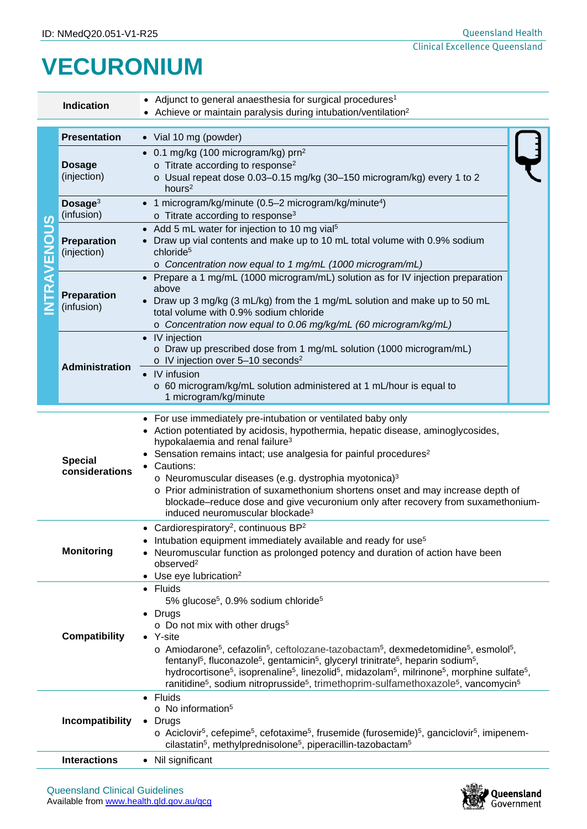## **VECURONIUM**

|                                                      | • Adjunct to general anaesthesia for surgical procedures <sup>1</sup><br><b>Indication</b><br>• Achieve or maintain paralysis during intubation/ventilation <sup>2</sup>                                                                                                                                                                                                                                                                                                                                                                                                                                                                                                                                                                                                                                 |                                                                                                                                                                                                                                                                                                                                                                                                                                                                                                                                                                                                  |  |  |  |
|------------------------------------------------------|----------------------------------------------------------------------------------------------------------------------------------------------------------------------------------------------------------------------------------------------------------------------------------------------------------------------------------------------------------------------------------------------------------------------------------------------------------------------------------------------------------------------------------------------------------------------------------------------------------------------------------------------------------------------------------------------------------------------------------------------------------------------------------------------------------|--------------------------------------------------------------------------------------------------------------------------------------------------------------------------------------------------------------------------------------------------------------------------------------------------------------------------------------------------------------------------------------------------------------------------------------------------------------------------------------------------------------------------------------------------------------------------------------------------|--|--|--|
| S<br>$\ddot{\overline{\textbf{0}}}$<br><b>TRAVEN</b> | <b>Presentation</b>                                                                                                                                                                                                                                                                                                                                                                                                                                                                                                                                                                                                                                                                                                                                                                                      | • Vial 10 mg (powder)                                                                                                                                                                                                                                                                                                                                                                                                                                                                                                                                                                            |  |  |  |
|                                                      | <b>Dosage</b><br>(injection)                                                                                                                                                                                                                                                                                                                                                                                                                                                                                                                                                                                                                                                                                                                                                                             | • 0.1 mg/kg (100 microgram/kg) $prn^2$<br>o Titrate according to response <sup>2</sup><br>o Usual repeat dose 0.03-0.15 mg/kg (30-150 microgram/kg) every 1 to 2<br>hours <sup>2</sup>                                                                                                                                                                                                                                                                                                                                                                                                           |  |  |  |
|                                                      | Dosage <sup>3</sup><br>(infusion)                                                                                                                                                                                                                                                                                                                                                                                                                                                                                                                                                                                                                                                                                                                                                                        | • 1 microgram/kg/minute (0.5-2 microgram/kg/minute <sup>4</sup> )<br>$\circ$ Titrate according to response <sup>3</sup>                                                                                                                                                                                                                                                                                                                                                                                                                                                                          |  |  |  |
|                                                      | Preparation<br>(injection)                                                                                                                                                                                                                                                                                                                                                                                                                                                                                                                                                                                                                                                                                                                                                                               | Add 5 mL water for injection to 10 mg vial <sup>5</sup><br>Draw up vial contents and make up to 10 mL total volume with 0.9% sodium<br>chloride <sup>5</sup><br>o Concentration now equal to 1 mg/mL (1000 microgram/mL)                                                                                                                                                                                                                                                                                                                                                                         |  |  |  |
|                                                      | Preparation<br>(infusion)                                                                                                                                                                                                                                                                                                                                                                                                                                                                                                                                                                                                                                                                                                                                                                                | Prepare a 1 mg/mL (1000 microgram/mL) solution as for IV injection preparation<br>above<br>Draw up 3 mg/kg (3 mL/kg) from the 1 mg/mL solution and make up to 50 mL<br>total volume with 0.9% sodium chloride<br>o Concentration now equal to 0.06 mg/kg/mL (60 microgram/kg/mL)                                                                                                                                                                                                                                                                                                                 |  |  |  |
|                                                      | Administration                                                                                                                                                                                                                                                                                                                                                                                                                                                                                                                                                                                                                                                                                                                                                                                           | IV injection<br>o Draw up prescribed dose from 1 mg/mL solution (1000 microgram/mL)<br>o IV injection over 5-10 seconds <sup>2</sup>                                                                                                                                                                                                                                                                                                                                                                                                                                                             |  |  |  |
|                                                      |                                                                                                                                                                                                                                                                                                                                                                                                                                                                                                                                                                                                                                                                                                                                                                                                          | IV infusion<br>o 60 microgram/kg/mL solution administered at 1 mL/hour is equal to<br>1 microgram/kg/minute                                                                                                                                                                                                                                                                                                                                                                                                                                                                                      |  |  |  |
|                                                      | <b>Special</b><br>considerations                                                                                                                                                                                                                                                                                                                                                                                                                                                                                                                                                                                                                                                                                                                                                                         | For use immediately pre-intubation or ventilated baby only<br>$\bullet$<br>Action potentiated by acidosis, hypothermia, hepatic disease, aminoglycosides,<br>hypokalaemia and renal failure <sup>3</sup><br>Sensation remains intact; use analgesia for painful procedures <sup>2</sup><br>Cautions:<br>o Neuromuscular diseases (e.g. dystrophia myotonica) <sup>3</sup><br>o Prior administration of suxamethonium shortens onset and may increase depth of<br>blockade-reduce dose and give vecuronium only after recovery from suxamethonium-<br>induced neuromuscular blockade <sup>3</sup> |  |  |  |
|                                                      | Cardiorespiratory <sup>2</sup> , continuous BP <sup>2</sup><br>Intubation equipment immediately available and ready for use <sup>5</sup><br><b>Monitoring</b><br>Neuromuscular function as prolonged potency and duration of action have been<br>observed <sup>2</sup><br>Use eye lubrication <sup>2</sup><br>$\bullet$                                                                                                                                                                                                                                                                                                                                                                                                                                                                                  |                                                                                                                                                                                                                                                                                                                                                                                                                                                                                                                                                                                                  |  |  |  |
|                                                      | • Fluids<br>5% glucose <sup>5</sup> , 0.9% sodium chloride <sup>5</sup><br>Drugs<br>$\bullet$<br>$\circ$ Do not mix with other drugs <sup>5</sup><br><b>Compatibility</b><br>• Y-site<br>o Amiodarone <sup>5</sup> , cefazolin <sup>5</sup> , ceftolozane-tazobactam <sup>5</sup> , dexmedetomidine <sup>5</sup> , esmolol <sup>5</sup> ,<br>fentanyl <sup>5</sup> , fluconazole <sup>5</sup> , gentamicin <sup>5</sup> , glyceryl trinitrate <sup>5</sup> , heparin sodium <sup>5</sup> ,<br>hydrocortisone <sup>5</sup> , isoprenaline <sup>5</sup> , linezolid <sup>5</sup> , midazolam <sup>5</sup> , milrinone <sup>5</sup> , morphine sulfate <sup>5</sup> ,<br>ranitidine <sup>5</sup> , sodium nitroprusside <sup>5</sup> , trimethoprim-sulfamethoxazole <sup>5</sup> , vancomycin <sup>5</sup> |                                                                                                                                                                                                                                                                                                                                                                                                                                                                                                                                                                                                  |  |  |  |
|                                                      | Incompatibility                                                                                                                                                                                                                                                                                                                                                                                                                                                                                                                                                                                                                                                                                                                                                                                          | Fluids<br>$\bullet$<br>$\circ$ No information <sup>5</sup><br>Drugs<br>$\bullet$<br>$\circ$ Aciclovir <sup>5</sup> , cefepime <sup>5</sup> , cefotaxime <sup>5</sup> , frusemide (furosemide) <sup>5</sup> , ganciclovir <sup>5</sup> , imipenem-<br>cilastatin <sup>5</sup> , methylprednisolone <sup>5</sup> , piperacillin-tazobactam <sup>5</sup>                                                                                                                                                                                                                                            |  |  |  |
|                                                      | <b>Interactions</b>                                                                                                                                                                                                                                                                                                                                                                                                                                                                                                                                                                                                                                                                                                                                                                                      | • Nil significant                                                                                                                                                                                                                                                                                                                                                                                                                                                                                                                                                                                |  |  |  |